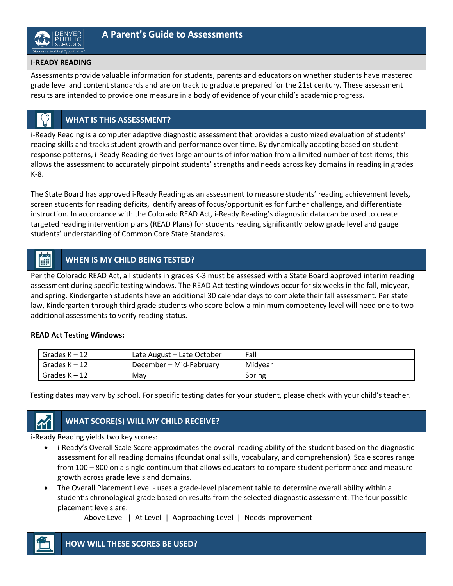### **I-READY READING**

Assessments provide valuable information for students, parents and educators on whether students have mastered grade level and content standards and are on track to graduate prepared for the 21st century. These assessment results are intended to provide one measure in a body of evidence of your child's academic progress.

### **WHAT IS THIS ASSESSMENT?**

i-Ready Reading is a computer adaptive diagnostic assessment that provides a customized evaluation of students' reading skills and tracks student growth and performance over time. By dynamically adapting based on student response patterns, i-Ready Reading derives large amounts of information from a limited number of test items; this allows the assessment to accurately pinpoint students' strengths and needs across key domains in reading in grades K-8.

The State Board has approved i-Ready Reading as an assessment to measure students' reading achievement levels, screen students for reading deficits, identify areas of focus/opportunities for further challenge, and differentiate instruction. In accordance with the Colorado READ Act, i-Ready Reading's diagnostic data can be used to create targeted reading intervention plans (READ Plans) for students reading significantly below grade level and gauge students' understanding of Common Core State Standards.

#### $\begin{bmatrix} 1 & 1 \\ 1 & 1 \end{bmatrix}$ **WHEN IS MY CHILD BEING TESTED?**

Per the Colorado READ Act, all students in grades K-3 must be assessed with a State Board approved interim reading assessment during specific testing windows. The READ Act testing windows occur for six weeks in the fall, midyear, and spring. Kindergarten students have an additional 30 calendar days to complete their fall assessment. Per state law, Kindergarten through third grade students who score below a minimum competency level will need one to two additional assessments to verify reading status.

### **READ Act Testing Windows:**

| Grades $K - 12$ | Late August – Late October | Fall    |
|-----------------|----------------------------|---------|
| Grades $K - 12$ | December – Mid-February    | Midvear |
| Grades $K - 12$ | Mav                        | Spring  |

Testing dates may vary by school. For specific testing dates for your student, please check with your child's teacher.

# **WHAT SCORE(S) WILL MY CHILD RECEIVE?**

i-Ready Reading yields two key scores:

- i-Ready's Overall Scale Score approximates the overall reading ability of the student based on the diagnostic assessment for all reading domains (foundational skills, vocabulary, and comprehension). Scale scores range from 100 – 800 on a single continuum that allows educators to compare student performance and measure growth across grade levels and domains.
- The Overall Placement Level uses a grade-level placement table to determine overall ability within a student's chronological grade based on results from the selected diagnostic assessment. The four possible placement levels are:

Above Level | At Level | Approaching Level | Needs Improvement



M